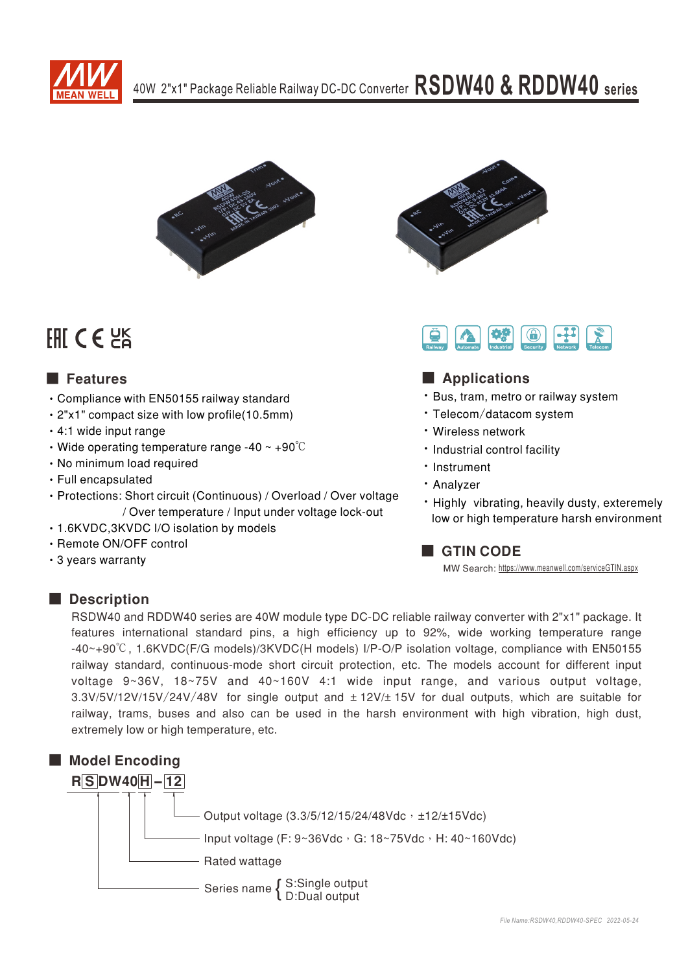



# FHI CE HS

# ■ Features

- Compliance with EN50155 railway standard
- 2"x1" compact size with low profile(10.5mm)
- 4:1 wide input range
- Wide operating temperature range -40  $\sim$  +90 $\degree$ C
- No minimum load required
- Full encapsulated
- Protections: Short circuit (Continuous) / Overload / Over voltage / Over temperature / Input under voltage lock-out
- 1.6KVDC, 3KVDC I/O isolation by models
- Remote ON/OFF control
- 3 years warranty





# ■ Applications

- · Bus, tram, metro or railway system
- Telecom/datacom system
- Wireless network
- · Industrial control facility
- Instrument
- · Analyzer
- . Highly vibrating, heavily dusty, exteremely low or high temperature harsh environment

# **GTIN CODE**

MW Search: https://www.meanwell.com/serviceGTIN.aspx

# Description

RSDW40 and RDDW40 series are 40W module type DC-DC reliable railway converter with 2"x1" package. It features international standard pins, a high efficiency up to 92%, wide working temperature range -40~+90°C, 1.6KVDC(F/G models)/3KVDC(H models) I/P-O/P isolation voltage, compliance with EN50155 railway standard, continuous-mode short circuit protection, etc. The models account for different input voltage 9~36V, 18~75V and 40~160V 4:1 wide input range, and various output voltage, 3.3V/5V/12V/15V/24V/48V for single output and  $\pm$  12V/ $\pm$  15V for dual outputs, which are suitable for railway, trams, buses and also can be used in the harsh environment with high vibration, high dust, extremely low or high temperature, etc.

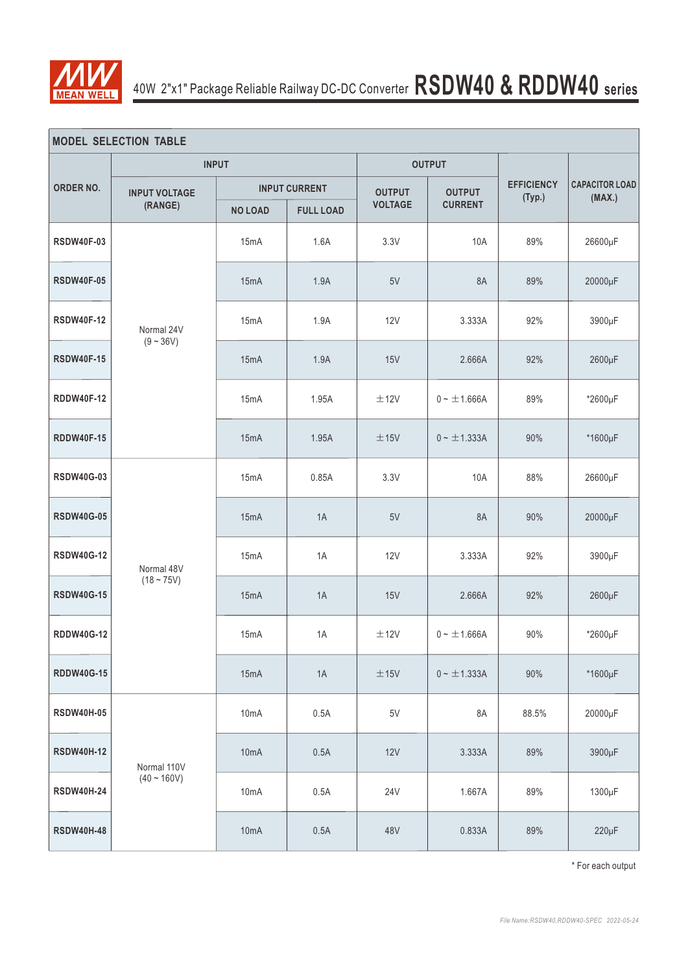

| <b>MODEL SELECTION TABLE</b> |                              |                           |                      |                |                  |                             |                                 |  |  |  |  |  |  |
|------------------------------|------------------------------|---------------------------|----------------------|----------------|------------------|-----------------------------|---------------------------------|--|--|--|--|--|--|
|                              |                              | <b>INPUT</b>              |                      |                | <b>OUTPUT</b>    |                             |                                 |  |  |  |  |  |  |
| <b>ORDER NO.</b>             | <b>INPUT VOLTAGE</b>         |                           | <b>INPUT CURRENT</b> | <b>OUTPUT</b>  | <b>OUTPUT</b>    | <b>EFFICIENCY</b><br>(Typ.) | <b>CAPACITOR LOAD</b><br>(MAX.) |  |  |  |  |  |  |
|                              | (RANGE)                      | <b>NO LOAD</b>            | <b>FULL LOAD</b>     | <b>VOLTAGE</b> | <b>CURRENT</b>   |                             |                                 |  |  |  |  |  |  |
| <b>RSDW40F-03</b>            |                              | 15mA                      | 1.6A                 | 3.3V           | 10A              | 89%                         | 26600µF                         |  |  |  |  |  |  |
| <b>RSDW40F-05</b>            | Normal 24V<br>$(9 - 36V)$    | 15mA                      | 1.9A                 | 5V             | 8A               | 89%                         | 20000µF                         |  |  |  |  |  |  |
| <b>RSDW40F-12</b>            |                              | 15 <sub>m</sub> A         | 1.9A                 | 12V            | 3.333A           | 92%                         | 3900µF                          |  |  |  |  |  |  |
| <b>RSDW40F-15</b>            |                              | 15mA                      | 1.9A                 | 15V            |                  | 92%                         | 2600µF                          |  |  |  |  |  |  |
| <b>RDDW40F-12</b>            |                              | 15mA                      | 1.95A                | ±12V           | $0 - \pm 1.666A$ | 89%                         | *2600µF                         |  |  |  |  |  |  |
| <b>RDDW40F-15</b>            |                              | 15mA<br>1.95A             |                      | ±15V           | $0 - \pm 1.333A$ | 90%                         | *1600µF                         |  |  |  |  |  |  |
| <b>RSDW40G-03</b>            |                              | 15mA                      | 0.85A                | 3.3V           | 10A              | 88%                         | 26600µF                         |  |  |  |  |  |  |
| <b>RSDW40G-05</b>            |                              | 15mA                      | 1A                   | 5V             | 8A               | 90%                         | 20000µF                         |  |  |  |  |  |  |
| <b>RSDW40G-12</b>            | Normal 48V                   | 15mA                      | 1A                   | 12V            | 3.333A           | 92%                         | 3900µF                          |  |  |  |  |  |  |
| <b>RSDW40G-15</b>            | $(18 - 75V)$                 | 15mA                      | 1A                   | 15V            | 2.666A           | 92%                         | 2600µF                          |  |  |  |  |  |  |
| <b>RDDW40G-12</b>            |                              | 15mA                      | 1A                   | ±12V           | $0 - \pm 1.666A$ | 90%                         | *2600µF                         |  |  |  |  |  |  |
| <b>RDDW40G-15</b>            |                              | 15mA<br>$1A$              |                      | ±15V           | $0 - \pm 1.333A$ | 90%                         | *1600µF                         |  |  |  |  |  |  |
| <b>RSDW40H-05</b>            |                              | 10 <sub>m</sub> A         | 0.5A                 | $5\mathrm{V}$  | 8A               | 88.5%                       | 20000µF                         |  |  |  |  |  |  |
| <b>RSDW40H-12</b>            | Normal 110V<br>$(40 - 160V)$ | 10 <sub>m</sub> A         | 0.5A                 | 12V            | 3.333A           | 89%                         | 3900µF                          |  |  |  |  |  |  |
| <b>RSDW40H-24</b>            |                              | 10mA                      |                      | <b>24V</b>     | 1.667A           | 89%                         | 1300µF                          |  |  |  |  |  |  |
| <b>RSDW40H-48</b>            |                              | 10 <sub>m</sub> A<br>0.5A |                      | 48V            | 0.833A           | 89%                         | $220\mu F$                      |  |  |  |  |  |  |

\* For each output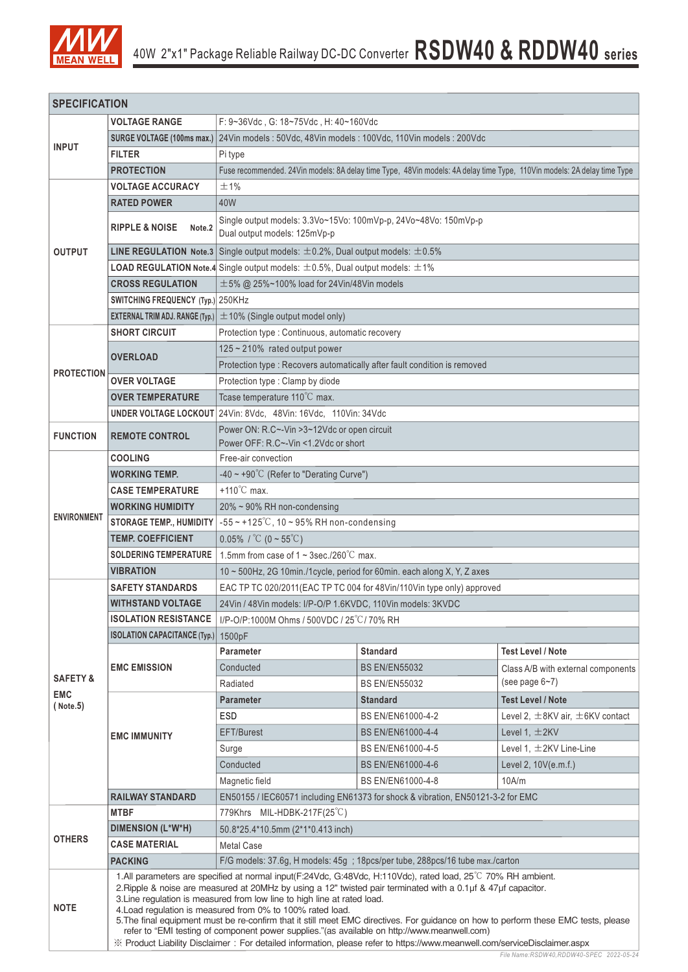

| <b>SPECIFICATION</b>   |                                                                                                                                                                                                                                                                                                                                                                                                                                                                                                                                                                                                                                                                                                                                                          |                                                                                                  |                                                                                                                         |                                           |  |  |  |  |  |  |  |  |  |
|------------------------|----------------------------------------------------------------------------------------------------------------------------------------------------------------------------------------------------------------------------------------------------------------------------------------------------------------------------------------------------------------------------------------------------------------------------------------------------------------------------------------------------------------------------------------------------------------------------------------------------------------------------------------------------------------------------------------------------------------------------------------------------------|--------------------------------------------------------------------------------------------------|-------------------------------------------------------------------------------------------------------------------------|-------------------------------------------|--|--|--|--|--|--|--|--|--|
|                        | <b>VOLTAGE RANGE</b>                                                                                                                                                                                                                                                                                                                                                                                                                                                                                                                                                                                                                                                                                                                                     | F: 9~36Vdc, G: 18~75Vdc, H: 40~160Vdc                                                            |                                                                                                                         |                                           |  |  |  |  |  |  |  |  |  |
|                        | <b>SURGE VOLTAGE (100ms max.)</b>                                                                                                                                                                                                                                                                                                                                                                                                                                                                                                                                                                                                                                                                                                                        | 24Vin models: 50Vdc, 48Vin models: 100Vdc, 110Vin models: 200Vdc                                 |                                                                                                                         |                                           |  |  |  |  |  |  |  |  |  |
| <b>INPUT</b>           | <b>FILTER</b>                                                                                                                                                                                                                                                                                                                                                                                                                                                                                                                                                                                                                                                                                                                                            | Pi type                                                                                          |                                                                                                                         |                                           |  |  |  |  |  |  |  |  |  |
|                        | <b>PROTECTION</b>                                                                                                                                                                                                                                                                                                                                                                                                                                                                                                                                                                                                                                                                                                                                        |                                                                                                  | Fuse recommended. 24Vin models: 8A delay time Type, 48Vin models: 4A delay time Type, 110Vin models: 2A delay time Type |                                           |  |  |  |  |  |  |  |  |  |
|                        | <b>VOLTAGE ACCURACY</b>                                                                                                                                                                                                                                                                                                                                                                                                                                                                                                                                                                                                                                                                                                                                  | ±1%                                                                                              |                                                                                                                         |                                           |  |  |  |  |  |  |  |  |  |
|                        | <b>RATED POWER</b>                                                                                                                                                                                                                                                                                                                                                                                                                                                                                                                                                                                                                                                                                                                                       | 40W                                                                                              |                                                                                                                         |                                           |  |  |  |  |  |  |  |  |  |
|                        | <b>RIPPLE &amp; NOISE</b><br>Note.2                                                                                                                                                                                                                                                                                                                                                                                                                                                                                                                                                                                                                                                                                                                      | Single output models: 3.3Vo~15Vo: 100mVp-p, 24Vo~48Vo: 150mVp-p<br>Dual output models: 125mVp-p  |                                                                                                                         |                                           |  |  |  |  |  |  |  |  |  |
| <b>OUTPUT</b>          |                                                                                                                                                                                                                                                                                                                                                                                                                                                                                                                                                                                                                                                                                                                                                          | <b>LINE REGULATION Note.3</b> Single output models: $\pm 0.2$ %, Dual output models: $\pm 0.5$ % |                                                                                                                         |                                           |  |  |  |  |  |  |  |  |  |
|                        |                                                                                                                                                                                                                                                                                                                                                                                                                                                                                                                                                                                                                                                                                                                                                          | <b>LOAD REGULATION Note.4</b> Single output models: $\pm$ 0.5%, Dual output models: $\pm$ 1%     |                                                                                                                         |                                           |  |  |  |  |  |  |  |  |  |
|                        | <b>CROSS REGULATION</b>                                                                                                                                                                                                                                                                                                                                                                                                                                                                                                                                                                                                                                                                                                                                  | $\pm$ 5% @ 25%~100% load for 24Vin/48Vin models                                                  |                                                                                                                         |                                           |  |  |  |  |  |  |  |  |  |
|                        | SWITCHING FREQUENCY (Typ.) 250KHz                                                                                                                                                                                                                                                                                                                                                                                                                                                                                                                                                                                                                                                                                                                        |                                                                                                  |                                                                                                                         |                                           |  |  |  |  |  |  |  |  |  |
|                        |                                                                                                                                                                                                                                                                                                                                                                                                                                                                                                                                                                                                                                                                                                                                                          | <b>EXTERNAL TRIM ADJ. RANGE (Typ.)</b> $\pm$ 10% (Single output model only)                      |                                                                                                                         |                                           |  |  |  |  |  |  |  |  |  |
|                        | <b>SHORT CIRCUIT</b>                                                                                                                                                                                                                                                                                                                                                                                                                                                                                                                                                                                                                                                                                                                                     |                                                                                                  | Protection type : Continuous, automatic recovery                                                                        |                                           |  |  |  |  |  |  |  |  |  |
|                        |                                                                                                                                                                                                                                                                                                                                                                                                                                                                                                                                                                                                                                                                                                                                                          | 125 ~ 210% rated output power                                                                    |                                                                                                                         |                                           |  |  |  |  |  |  |  |  |  |
|                        | <b>OVERLOAD</b>                                                                                                                                                                                                                                                                                                                                                                                                                                                                                                                                                                                                                                                                                                                                          | Protection type : Recovers automatically after fault condition is removed                        |                                                                                                                         |                                           |  |  |  |  |  |  |  |  |  |
| <b>PROTECTION</b>      | <b>OVER VOLTAGE</b>                                                                                                                                                                                                                                                                                                                                                                                                                                                                                                                                                                                                                                                                                                                                      | Protection type : Clamp by diode                                                                 |                                                                                                                         |                                           |  |  |  |  |  |  |  |  |  |
|                        | <b>OVER TEMPERATURE</b>                                                                                                                                                                                                                                                                                                                                                                                                                                                                                                                                                                                                                                                                                                                                  | Tcase temperature 110°C max.                                                                     |                                                                                                                         |                                           |  |  |  |  |  |  |  |  |  |
|                        |                                                                                                                                                                                                                                                                                                                                                                                                                                                                                                                                                                                                                                                                                                                                                          | UNDER VOLTAGE LOCKOUT 24Vin: 8Vdc, 48Vin: 16Vdc, 110Vin: 34Vdc                                   |                                                                                                                         |                                           |  |  |  |  |  |  |  |  |  |
| <b>FUNCTION</b>        | <b>REMOTE CONTROL</b>                                                                                                                                                                                                                                                                                                                                                                                                                                                                                                                                                                                                                                                                                                                                    | Power ON: R.C~-Vin >3~12Vdc or open circuit<br>Power OFF: R.C~-Vin <1.2Vdc or short              |                                                                                                                         |                                           |  |  |  |  |  |  |  |  |  |
|                        | <b>COOLING</b>                                                                                                                                                                                                                                                                                                                                                                                                                                                                                                                                                                                                                                                                                                                                           | Free-air convection                                                                              |                                                                                                                         |                                           |  |  |  |  |  |  |  |  |  |
|                        | <b>WORKING TEMP.</b>                                                                                                                                                                                                                                                                                                                                                                                                                                                                                                                                                                                                                                                                                                                                     | -40 ~ +90 $^{\circ}$ C (Refer to "Derating Curve")                                               |                                                                                                                         |                                           |  |  |  |  |  |  |  |  |  |
|                        | <b>CASE TEMPERATURE</b>                                                                                                                                                                                                                                                                                                                                                                                                                                                                                                                                                                                                                                                                                                                                  | $+110^{\circ}$ C max.                                                                            |                                                                                                                         |                                           |  |  |  |  |  |  |  |  |  |
|                        | <b>WORKING HUMIDITY</b>                                                                                                                                                                                                                                                                                                                                                                                                                                                                                                                                                                                                                                                                                                                                  | 20% ~ 90% RH non-condensing                                                                      |                                                                                                                         |                                           |  |  |  |  |  |  |  |  |  |
| <b>ENVIRONMENT</b>     | <b>STORAGE TEMP., HUMIDITY</b>                                                                                                                                                                                                                                                                                                                                                                                                                                                                                                                                                                                                                                                                                                                           | $-55 \sim +125^{\circ}$ C, 10 ~ 95% RH non-condensing                                            |                                                                                                                         |                                           |  |  |  |  |  |  |  |  |  |
|                        | <b>TEMP. COEFFICIENT</b>                                                                                                                                                                                                                                                                                                                                                                                                                                                                                                                                                                                                                                                                                                                                 | 0.05% / $^{\circ}C$ (0 ~ 55 $^{\circ}C$ )                                                        |                                                                                                                         |                                           |  |  |  |  |  |  |  |  |  |
|                        | <b>SOLDERING TEMPERATURE</b>                                                                                                                                                                                                                                                                                                                                                                                                                                                                                                                                                                                                                                                                                                                             | 1.5mm from case of $1 \sim 3$ sec./260 $\degree$ C max.                                          |                                                                                                                         |                                           |  |  |  |  |  |  |  |  |  |
|                        | <b>VIBRATION</b>                                                                                                                                                                                                                                                                                                                                                                                                                                                                                                                                                                                                                                                                                                                                         | 10 ~ 500Hz, 2G 10min./1cycle, period for 60min. each along X, Y, Z axes                          |                                                                                                                         |                                           |  |  |  |  |  |  |  |  |  |
|                        | <b>SAFETY STANDARDS</b>                                                                                                                                                                                                                                                                                                                                                                                                                                                                                                                                                                                                                                                                                                                                  | EAC TP TC 020/2011(EAC TP TC 004 for 48Vin/110Vin type only) approved                            |                                                                                                                         |                                           |  |  |  |  |  |  |  |  |  |
|                        | <b>WITHSTAND VOLTAGE</b>                                                                                                                                                                                                                                                                                                                                                                                                                                                                                                                                                                                                                                                                                                                                 | 24Vin / 48Vin models: I/P-O/P 1.6KVDC, 110Vin models: 3KVDC                                      |                                                                                                                         |                                           |  |  |  |  |  |  |  |  |  |
|                        | <b>ISOLATION RESISTANCE</b>                                                                                                                                                                                                                                                                                                                                                                                                                                                                                                                                                                                                                                                                                                                              | I/P-O/P:1000M Ohms / 500VDC / 25°C / 70% RH                                                      |                                                                                                                         |                                           |  |  |  |  |  |  |  |  |  |
|                        | <b>ISOLATION CAPACITANCE (Typ.)</b>                                                                                                                                                                                                                                                                                                                                                                                                                                                                                                                                                                                                                                                                                                                      | 1500pF                                                                                           |                                                                                                                         |                                           |  |  |  |  |  |  |  |  |  |
|                        |                                                                                                                                                                                                                                                                                                                                                                                                                                                                                                                                                                                                                                                                                                                                                          | <b>Parameter</b>                                                                                 | <b>Standard</b>                                                                                                         | <b>Test Level / Note</b>                  |  |  |  |  |  |  |  |  |  |
|                        | <b>EMC EMISSION</b>                                                                                                                                                                                                                                                                                                                                                                                                                                                                                                                                                                                                                                                                                                                                      | Conducted                                                                                        | <b>BS EN/EN55032</b>                                                                                                    | Class A/B with external components        |  |  |  |  |  |  |  |  |  |
| <b>SAFETY &amp;</b>    |                                                                                                                                                                                                                                                                                                                                                                                                                                                                                                                                                                                                                                                                                                                                                          | Radiated                                                                                         | <b>BS EN/EN55032</b>                                                                                                    | (see page $6-7$ )                         |  |  |  |  |  |  |  |  |  |
| <b>EMC</b><br>(Note.5) |                                                                                                                                                                                                                                                                                                                                                                                                                                                                                                                                                                                                                                                                                                                                                          | <b>Parameter</b>                                                                                 | <b>Standard</b>                                                                                                         | <b>Test Level / Note</b>                  |  |  |  |  |  |  |  |  |  |
|                        |                                                                                                                                                                                                                                                                                                                                                                                                                                                                                                                                                                                                                                                                                                                                                          | <b>ESD</b>                                                                                       | BS EN/EN61000-4-2                                                                                                       | Level 2, $\pm$ 8KV air, $\pm$ 6KV contact |  |  |  |  |  |  |  |  |  |
|                        | <b>EMC IMMUNITY</b>                                                                                                                                                                                                                                                                                                                                                                                                                                                                                                                                                                                                                                                                                                                                      | <b>EFT/Burest</b>                                                                                | BS EN/EN61000-4-4                                                                                                       | Level 1, $\pm$ 2KV                        |  |  |  |  |  |  |  |  |  |
|                        |                                                                                                                                                                                                                                                                                                                                                                                                                                                                                                                                                                                                                                                                                                                                                          | Surge                                                                                            | BS EN/EN61000-4-5                                                                                                       | Level 1, $\pm$ 2KV Line-Line              |  |  |  |  |  |  |  |  |  |
|                        |                                                                                                                                                                                                                                                                                                                                                                                                                                                                                                                                                                                                                                                                                                                                                          | Conducted                                                                                        | BS EN/EN61000-4-6                                                                                                       | Level 2, 10V(e.m.f.)                      |  |  |  |  |  |  |  |  |  |
|                        |                                                                                                                                                                                                                                                                                                                                                                                                                                                                                                                                                                                                                                                                                                                                                          | 10A/m<br>BS EN/EN61000-4-8<br>Magnetic field                                                     |                                                                                                                         |                                           |  |  |  |  |  |  |  |  |  |
|                        | <b>RAILWAY STANDARD</b>                                                                                                                                                                                                                                                                                                                                                                                                                                                                                                                                                                                                                                                                                                                                  | EN50155 / IEC60571 including EN61373 for shock & vibration, EN50121-3-2 for EMC                  |                                                                                                                         |                                           |  |  |  |  |  |  |  |  |  |
|                        | <b>MTBF</b>                                                                                                                                                                                                                                                                                                                                                                                                                                                                                                                                                                                                                                                                                                                                              | 779Khrs MIL-HDBK-217F(25°C)                                                                      |                                                                                                                         |                                           |  |  |  |  |  |  |  |  |  |
| <b>OTHERS</b>          | DIMENSION (L*W*H)                                                                                                                                                                                                                                                                                                                                                                                                                                                                                                                                                                                                                                                                                                                                        | 50.8*25.4*10.5mm (2*1*0.413 inch)                                                                |                                                                                                                         |                                           |  |  |  |  |  |  |  |  |  |
|                        | <b>CASE MATERIAL</b>                                                                                                                                                                                                                                                                                                                                                                                                                                                                                                                                                                                                                                                                                                                                     | <b>Metal Case</b>                                                                                |                                                                                                                         |                                           |  |  |  |  |  |  |  |  |  |
|                        | <b>PACKING</b>                                                                                                                                                                                                                                                                                                                                                                                                                                                                                                                                                                                                                                                                                                                                           | F/G models: 37.6g, H models: 45g; 18pcs/per tube, 288pcs/16 tube max./carton                     |                                                                                                                         |                                           |  |  |  |  |  |  |  |  |  |
| <b>NOTE</b>            | 1.All parameters are specified at normal input(F:24Vdc, G:48Vdc, H:110Vdc), rated load, 25 <sup>°</sup> C 70% RH ambient.<br>2. Ripple & noise are measured at 20MHz by using a 12" twisted pair terminated with a 0.1µf & 47µf capacitor.<br>3. Line regulation is measured from low line to high line at rated load.<br>4. Load regulation is measured from 0% to 100% rated load.<br>5. The final equipment must be re-confirm that it still meet EMC directives. For guidance on how to perform these EMC tests, please<br>refer to "EMI testing of component power supplies."(as available on http://www.meanwell.com)<br>※ Product Liability Disclaimer: For detailed information, please refer to https://www.meanwell.com/serviceDisclaimer.aspx |                                                                                                  |                                                                                                                         |                                           |  |  |  |  |  |  |  |  |  |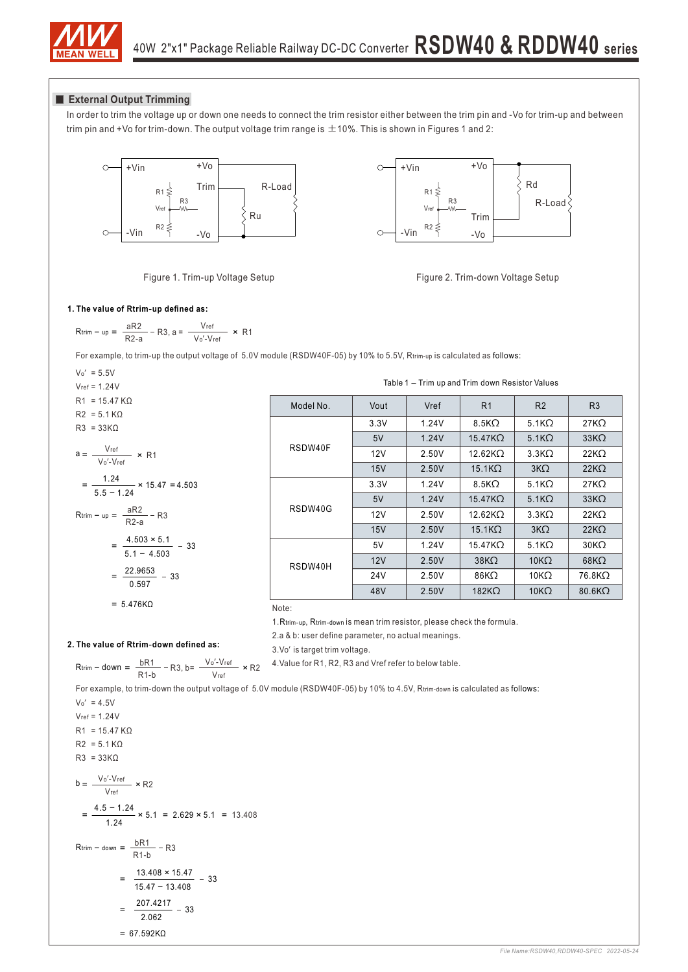

#### **External Output Trimming**

In order to trim the voltage up or down one needs to connect the trim resistor either between the trim pin and -Vo for trim-up and between trim pin and +Vo for trim-down. The output voltage trim range is  $\pm$  10%. This is shown in Figures 1 and 2:



Figure 1. Trim-up Voltage Setup





Table 1 – Trim up and Trim down Resistor Values

8.5KΩ

5.1KΩ

27KΩ

33KΩ

22KΩ

27KΩ

22KΩ

 $33K<sub>Ω</sub>$ 

22KΩ

30KΩ

 $22KΩ$ 

68KΩ

76.8KΩ

80.6KΩ

5.1KΩ

3.3KΩ

5.1KΩ

3KΩ

 $5.1K\Omega$ 

3.3KΩ

3KΩ

5.1KΩ

 $10KΩ$ 

10KΩ

10KΩ

15.47KΩ

12.62KΩ

8.5KΩ

15.1KΩ

 $15.47K\Omega$ 

12.62KΩ

15.1KΩ

15.47KΩ

38KΩ

86KΩ

182KΩ

Model No. | Vout | Vref | R1 | R2 | R3

1.24V

2.50V 1.24V

1.24V

2.50V

1.24V

2.50V

1.24V

2.50V

2.50V 2.50V

2.50V

#### **1. The value of Rtrim**-**up defined as:**

$$
R\textrm{trim} - \textrm{up} = \frac{aR2}{R2-a} - R3, a = \frac{V\textrm{ref}}{V\textrm{o}'\textrm{-}V\textrm{ref}} \times R1
$$

For example, to trim-up the output voltage of 5.0V module (RSDW40F-05) by 10% to 5.5V, Rtrim-up is calculated as follows:

RSDW40F

RSDW40G

RSDW40H

$$
V_0' = 5.5V
$$
  
Vert = 1.24V

$$
R1 = 15.47 K\Omega
$$
  
\n
$$
R2 = 5.1 K\Omega
$$
  
\n
$$
R3 = 33 K\Omega
$$
  
\n
$$
a = \frac{Vref}{V_0/V_0f} \times R1
$$

$$
= \frac{1.24}{5.5 - 1.24} \times 15.47 =
$$

$$
R\textrm{trim} - \textrm{up} = \frac{aR2}{R2-a} - R3
$$

$$
= \frac{4.503 \times 5.1}{5.1 - 4.503} - 33
$$

$$
= \frac{22.9653}{1.225} - 33
$$

4.503

 $\frac{\text{bR1}}{\text{A} + \text{B}}$  – R3, b=  $\frac{\text{Vo}' - \text{Vref}}{\text{A} + \text{B}}$  × R2

$$
=\frac{22.0000}{0.597}-33
$$

$$
= 5.476 K\Omega
$$

**2. The value of Rtrim**-**down defined as:** 

 $R$ trim – down =  $\frac{DN}{R1-b}$  – R3, b=  $\frac{VD - v}{V_{rel}}$ 

Note:

1.Rtrim-up, Rtrim-down is mean trim resistor, please check the formula.

3.3V

 $5V$ 

12V

3.3V

15V

5V

12V

15V

5V

 $12V$ 

24V

48V

2.a & b: user define parameter, no actual meanings.

3.Vo′ is target trim voltage.

4.Value for R1, R2, R3 and Vref refer to below table.

For example, to trim-down the output voltage of 5.0V module (RSDW40F-05) by 10% to 4.5V, Rtrim-down is calculated as follows:

 $=\frac{4.5 - 1.24}{1.24} \times 5.1 = 2.629 \times 5.1 = 13.408$  $\frac{13.100 - 13.11}{15.47 - 13.408}$  - 33  $b = \frac{v_0 - v}{V_{\text{ref}}}$  $R$ trim – down =  $\frac{DR1}{R1-b}$  – R3  $V_0' = 4.5V$  $V_{ref} = 1.24V$  $R1 = 15.47 KΩ$  $R2 = 5.1 KΩ$  $R3 = 33K\Omega$  $\frac{31.1211}{2.062} - 33$ 67.592KΩ =  $= \frac{13.408 \times 15.47}{1}$  $= \frac{207.4217}{2.225}$  $\frac{V_0 - V_{ref}}{V}$  × R2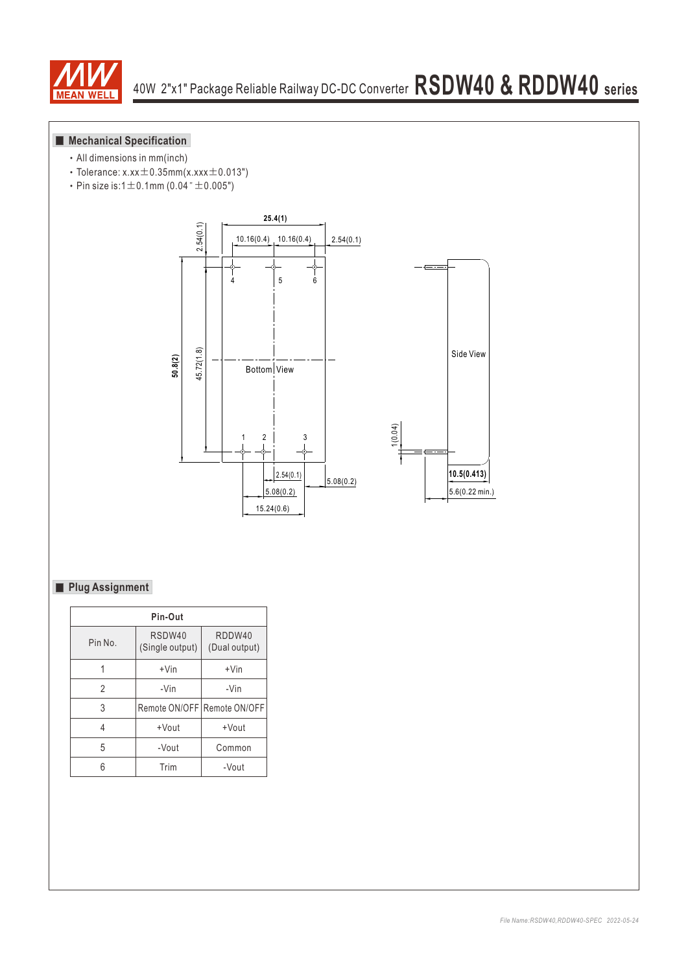

## **Mechanical Specification**

- ‧All dimensions in mm(inch)
- Tolerance:  $x.xx \pm 0.35$ mm $(x.xxx \pm 0.013")$
- Pin size is: $1 \pm 0.1$ mm (0.04" $\pm 0.005$ ")



## **Plug Assignment**

| Pin-Out |                             |                         |  |  |  |  |  |  |  |  |
|---------|-----------------------------|-------------------------|--|--|--|--|--|--|--|--|
| Pin No. | RSDW40<br>(Single output)   | RDDW40<br>(Dual output) |  |  |  |  |  |  |  |  |
|         | $+V$ in                     | $+V$ in                 |  |  |  |  |  |  |  |  |
| 2       | -Vin                        | -Vin                    |  |  |  |  |  |  |  |  |
| 3       | Remote ON/OFF Remote ON/OFF |                         |  |  |  |  |  |  |  |  |
| 4       | +Vout                       | +Vout                   |  |  |  |  |  |  |  |  |
| 5       | -Vout                       | Common                  |  |  |  |  |  |  |  |  |
|         | Trim                        | -Vout                   |  |  |  |  |  |  |  |  |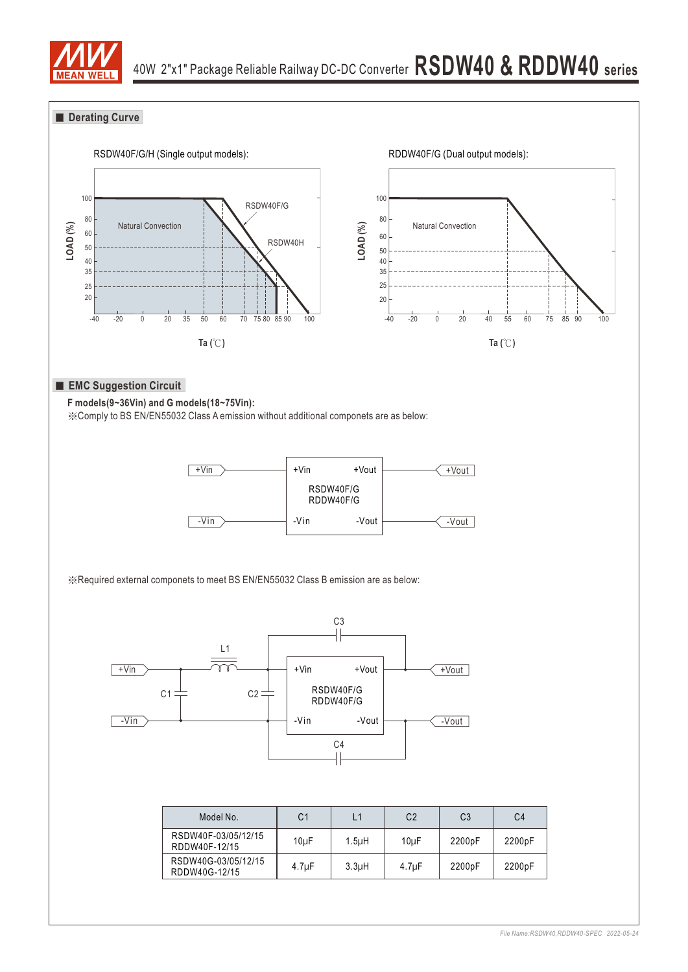

## **Derating Curve**

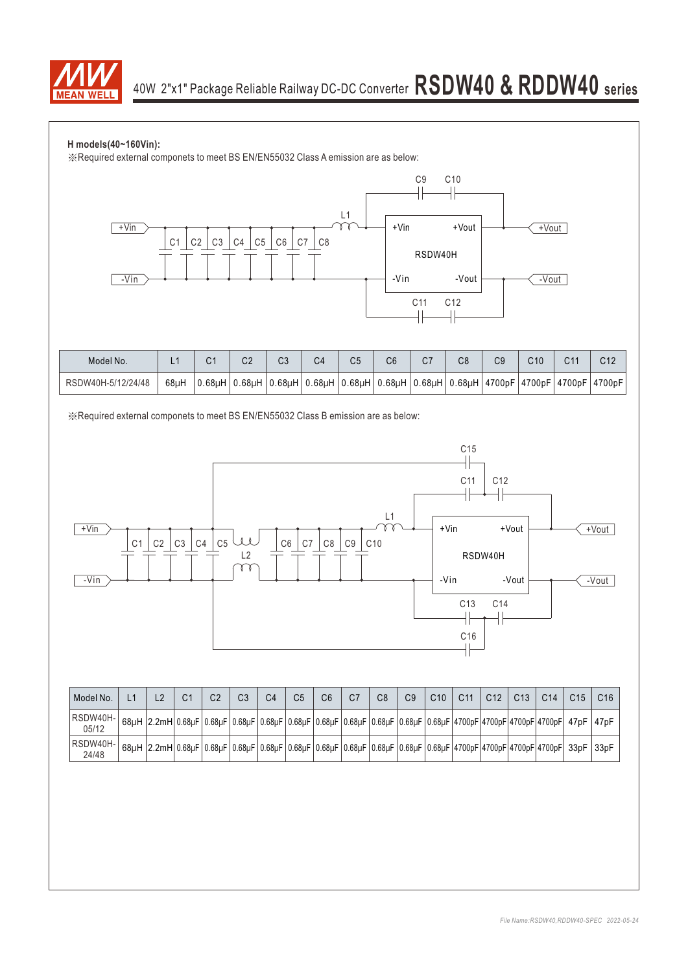

### **H models(40~160Vin):**

※Required external componets to meet BS EN/EN55032 Class A emission are as below:



| Model No.          |      |           | C <sub>2</sub> | $\sim$<br>0J | C4                          | Ui. | C6                      | ا با | C8 | C9 | C10 | C11 | C12                                                                   |
|--------------------|------|-----------|----------------|--------------|-----------------------------|-----|-------------------------|------|----|----|-----|-----|-----------------------------------------------------------------------|
| RSDW40H-5/12/24/48 | 68uH | $0.68$ uH | $0.68$ uH      |              | $0.68$ uH $0.68$ uH $\vert$ |     | $ 0.68\mu H 0.68\mu H $ |      |    |    |     |     | $ 0.68$ µH $ 0.68$ µH $ 4700$ pF $ 4700$ pF $ 4700$ pF $ 4700$ pF $ $ |

※Required external componets to meet BS EN/EN55032 Class B emission are as below:



| Model No.         |                   | C1 | C2 | C <sub>3</sub> | C4 | C5 | С6 | C8 | C <sub>9</sub> | C10 | C <sub>11</sub> | C <sub>12</sub> | C <sub>13</sub> | C <sub>14</sub>                                                                                                    | C <sub>15</sub> | C16  |
|-------------------|-------------------|----|----|----------------|----|----|----|----|----------------|-----|-----------------|-----------------|-----------------|--------------------------------------------------------------------------------------------------------------------|-----------------|------|
| RSDW40H-<br>05/12 | 68uH 2.2mH 0.68uF |    |    |                |    |    |    |    |                |     |                 |                 |                 | 0.68µF 0.68µF 0.68µF 0.68µF 0.68µF 0.68µF 0.68µF 0.68µF 0.68µF 0.68µF 4700pF 4700pF 4700pF 4700pF  470P   47pF     |                 |      |
| RSDW40H-<br>24/48 | 68uH 2.2mH 0.68uF |    |    |                |    |    |    |    |                |     |                 |                 |                 | 0.68µF   0.68µF   0.68µF   0.68µF   0.68µF   0.68µF   0.68µF   0.68µF   0.68µF  4700pF 4700pF 4700pF  4700pF  33pF |                 | 33pF |